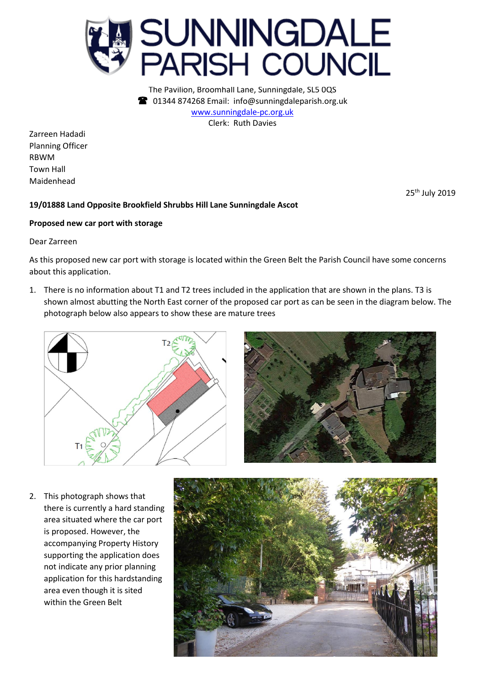

The Pavilion, Broomhall Lane, Sunningdale, SL5 0QS 01344 874268 Email: info@sunningdaleparish.org.uk [www.sunningdale-pc.org.uk](http://www.sunningdale-pc.org.uk/) Clerk: Ruth Davies

Zarreen Hadadi Planning Officer RBWM Town Hall Maidenhead

25th July 2019

## **19/01888 Land Opposite Brookfield Shrubbs Hill Lane Sunningdale Ascot**

## **Proposed new car port with storage**

Dear Zarreen

As this proposed new car port with storage is located within the Green Belt the Parish Council have some concerns about this application.

1. There is no information about T1 and T2 trees included in the application that are shown in the plans. T3 is shown almost abutting the North East corner of the proposed car port as can be seen in the diagram below. The photograph below also appears to show these are mature trees





2. This photograph shows that there is currently a hard standing area situated where the car port is proposed. However, the accompanying Property History supporting the application does not indicate any prior planning application for this hardstanding area even though it is sited within the Green Belt